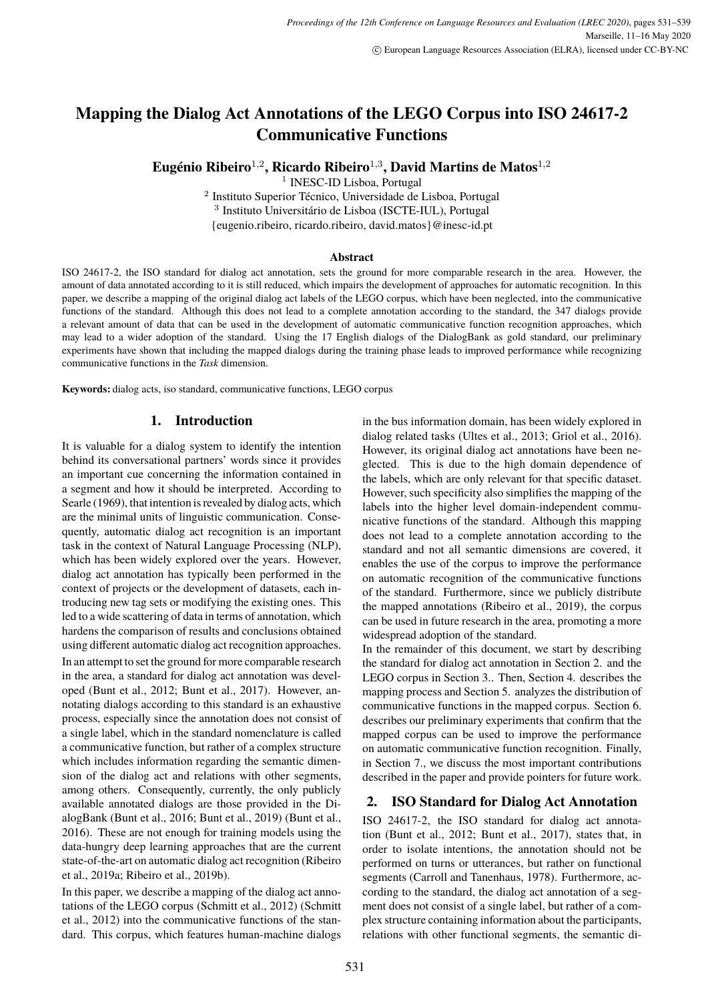# <span id="page-0-1"></span>**Mapping the Dialog Act Annotations of the LEGO Corpus into ISO 24617-2 Communicative Functions**

**Eugénio Ribeiro**<sup>1</sup>,<sup>2</sup> **, Ricardo Ribeiro**<sup>1</sup>,<sup>3</sup> **, David Martins de Matos**<sup>1</sup>,<sup>2</sup>

1 INESC-ID Lisboa, Portugal

2 Instituto Superior Técnico, Universidade de Lisboa, Portugal 3 Instituto Universitário de Lisboa (ISCTE-IUL), Portugal {eugenio.ribeiro, ricardo.ribeiro, david.matos}@inesc-id.pt

#### **Abstract**

ISO 24617-2, the ISO standard for dialog act annotation, sets the ground for more comparable research in the area. However, the amount of data annotated according to it is still reduced, which impairs the development of approaches for automatic recognition. In this paper, we describe a mapping of the original dialog act labels of the LEGO corpus, which have been neglected, into the communicative functions of the standard. Although this does not lead to a complete annotation according to the standard, the 347 dialogs provide a relevant amount of data that can be used in the development of automatic communicative function recognition approaches, which may lead to a wider adoption of the standard. Using the 17 English dialogs of the DialogBank as gold standard, our preliminary experiments have shown that including the mapped dialogs during the training phase leads to improved performance while recognizing communicative functions in the *Task* dimension.

**Keywords:** dialog acts, iso standard, communicative functions, LEGO corpus

# **1. Introduction**

It is valuable for a dialog system to identify the intention behind its conversational partners' words since it provides an important cue concerning the information contained in a segment and how it should be interpreted. According to Searle (1969), that intention is revealed by dialog acts, which are the minimal units of linguistic communication. Consequently, automatic dialog act recognition is an important task in the context of Natural Language Processing (NLP), which has been widely explored over the years. However, dialog act annotation has typically been performed in the context of projects or the development of datasets, each introducing new tag sets or modifying the existing ones. This led to a wide scattering of data in terms of annotation, which hardens the comparison of results and conclusions obtained using different automatic dialog act recognition approaches. In an attempt to set the ground for more comparable research in the area, a standard for dialog act annotation was developed (Bunt et al., 2012; Bunt et al., 2017). However, annotating dialogs according to this standard is an exhaustive process, especially since the annotation does not consist of a single label, which in the standard nomenclature is called a communicative function, but rather of a complex structure which includes information regarding the semantic dimension of the dialog act and relations with other segments, among others. Consequently, currently, the only publicly available annotated dialogs are those provided in the DialogBank (Bunt et al., 2016; Bunt et al., 2019) (Bunt et al., 2016). These are not enough for training models using the data-hungry deep learning approaches that are the current state-of-the-art on automatic dialog act recognition (Ribeiro et al., 2019a; Ribeiro et al., 2019b).

In this paper, we describe a mapping of the dialog act annotations of the LEGO corpus (Schmitt et al., 2012) (Schmitt et al., 2012) into the communicative functions of the standard. This corpus, which features human-machine dialogs in the bus information domain, has been widely explored in dialog related tasks (Ultes et al., 2013; Griol et al., 2016). However, its original dialog act annotations have been neglected. This is due to the high domain dependence of the labels, which are only relevant for that specific dataset. However, such specificity also simplifies the mapping of the labels into the higher level domain-independent communicative functions of the standard. Although this mapping does not lead to a complete annotation according to the standard and not all semantic dimensions are covered, it enables the use of the corpus to improve the performance on automatic recognition of the communicative functions of the standard. Furthermore, since we publicly distribute the mapped annotations (Ribeiro et al., 2019), the corpus can be used in future research in the area, promoting a more widespread adoption of the standard.

In the remainder of this document, we start by describing the standard for dialog act annotation in Section [2.](#page-0-0) and the LEGO corpus in Section [3..](#page-1-0) Then, Section [4.](#page-2-0) describes the mapping process and Section [5.](#page-5-0) analyzes the distribution of communicative functions in the mapped corpus. Section [6.](#page-6-0) describes our preliminary experiments that confirm that the mapped corpus can be used to improve the performance on automatic communicative function recognition. Finally, in Section [7.,](#page-7-0) we discuss the most important contributions described in the paper and provide pointers for future work.

# <span id="page-0-0"></span>**2. ISO Standard for Dialog Act Annotation**

ISO 24617-2, the ISO standard for dialog act annotation (Bunt et al., 2012; Bunt et al., 2017), states that, in order to isolate intentions, the annotation should not be performed on turns or utterances, but rather on functional segments (Carroll and Tanenhaus, 1978). Furthermore, according to the standard, the dialog act annotation of a segment does not consist of a single label, but rather of a complex structure containing information about the participants, relations with other functional segments, the semantic di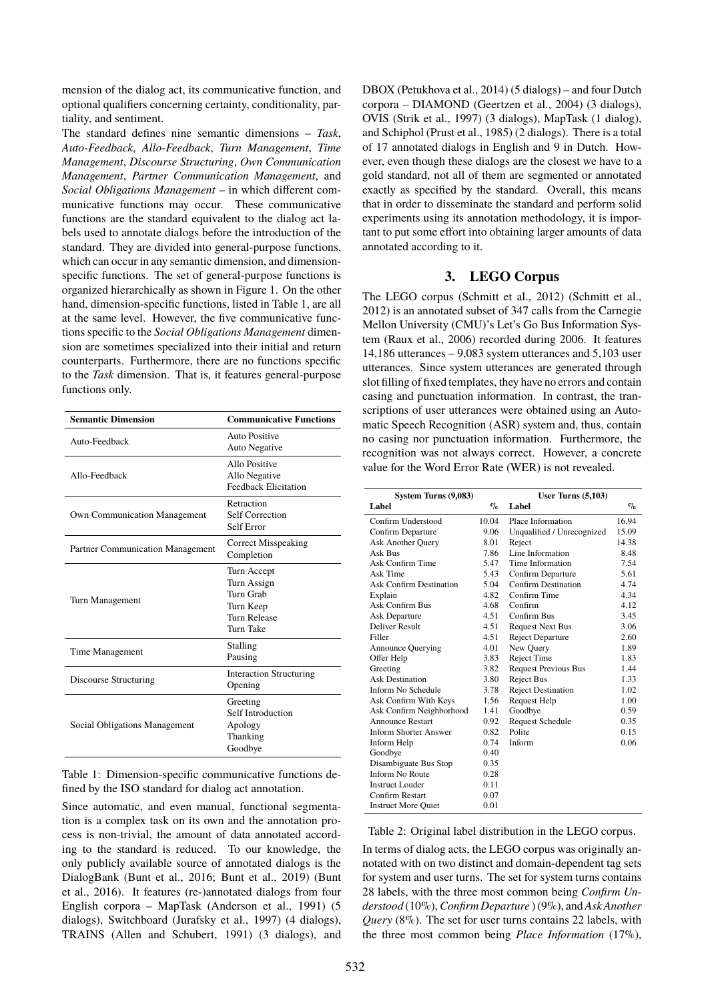mension of the dialog act, its communicative function, and optional qualifiers concerning certainty, conditionality, partiality, and sentiment.

The standard defines nine semantic dimensions – *Task*, *Auto-Feedback*, *Allo-Feedback*, *Turn Management*, *Time Management*, *Discourse Structuring*, *Own Communication Management*, *Partner Communication Management*, and *Social Obligations Management* – in which different communicative functions may occur. These communicative functions are the standard equivalent to the dialog act labels used to annotate dialogs before the introduction of the standard. They are divided into general-purpose functions, which can occur in any semantic dimension, and dimensionspecific functions. The set of general-purpose functions is organized hierarchically as shown in Figure [1.](#page-2-1) On the other hand, dimension-specific functions, listed in Table [1,](#page-1-1) are all at the same level. However, the five communicative functions specific to the *Social Obligations Management* dimension are sometimes specialized into their initial and return counterparts. Furthermore, there are no functions specific to the *Task* dimension. That is, it features general-purpose functions only.

| <b>Semantic Dimension</b>           | <b>Communicative Functions</b>                                                    |  |  |  |
|-------------------------------------|-----------------------------------------------------------------------------------|--|--|--|
| Auto-Feedback                       | Auto Positive<br>Auto Negative                                                    |  |  |  |
| Allo-Feedback                       | Allo Positive<br>Allo Negative<br><b>Feedback Elicitation</b>                     |  |  |  |
| <b>Own Communication Management</b> | Retraction<br><b>Self Correction</b><br>Self Error                                |  |  |  |
| Partner Communication Management    | <b>Correct Misspeaking</b><br>Completion                                          |  |  |  |
| Turn Management                     | Turn Accept<br>Turn Assign<br>Turn Grab<br>Turn Keep<br>Turn Release<br>Turn Take |  |  |  |
| Time Management                     | Stalling<br>Pausing                                                               |  |  |  |
| Discourse Structuring               | <b>Interaction Structuring</b><br>Opening                                         |  |  |  |
| Social Obligations Management       | Greeting<br>Self Introduction<br>Apology<br>Thanking<br>Goodbye                   |  |  |  |

<span id="page-1-1"></span>Table 1: Dimension-specific communicative functions defined by the ISO standard for dialog act annotation.

Since automatic, and even manual, functional segmentation is a complex task on its own and the annotation process is non-trivial, the amount of data annotated according to the standard is reduced. To our knowledge, the only publicly available source of annotated dialogs is the DialogBank [\(Bunt et al., 2016; Bunt et al., 2019\)](#page-0-1) (Bunt et al., 2016). It features (re-)annotated dialogs from four English corpora – MapTask [\(Anderson et al., 1991\)](#page-0-1) (5 dialogs), Switchboard [\(Jurafsky et al., 1997\)](#page-0-1) (4 dialogs), TRAINS [\(Allen and Schubert, 1991\)](#page-0-1) (3 dialogs), and

DBOX [\(Petukhova et al., 2014\)](#page-0-1) (5 dialogs) – and four Dutch corpora – DIAMOND [\(Geertzen et al., 2004\)](#page-0-1) (3 dialogs), OVIS [\(Strik et al., 1997\)](#page-0-1) (3 dialogs), MapTask (1 dialog), and Schiphol [\(Prust et al., 1985\)](#page-0-1) (2 dialogs). There is a total of 17 annotated dialogs in English and 9 in Dutch. However, even though these dialogs are the closest we have to a gold standard, not all of them are segmented or annotated exactly as specified by the standard. Overall, this means that in order to disseminate the standard and perform solid experiments using its annotation methodology, it is important to put some effort into obtaining larger amounts of data annotated according to it.

# **3. LEGO Corpus**

<span id="page-1-0"></span>The LEGO corpus [\(Schmitt et al., 2012\)](#page-0-1) (Schmitt et al., 2012) is an annotated subset of 347 calls from the Carnegie Mellon University (CMU)'s Let's Go Bus Information System [\(Raux et al., 2006\)](#page-0-1) recorded during 2006. It features 14,186 utterances – 9,083 system utterances and 5,103 user utterances. Since system utterances are generated through slot filling of fixed templates, they have no errors and contain casing and punctuation information. In contrast, the transcriptions of user utterances were obtained using an Automatic Speech Recognition (ASR) system and, thus, contain no casing nor punctuation information. Furthermore, the recognition was not always correct. However, a concrete value for the Word Error Rate (WER) is not revealed.

| System Turns (9,083)           | User Turns $(5,103)$      |                             |          |
|--------------------------------|---------------------------|-----------------------------|----------|
| Label                          | $\mathbf{q}_{\mathbf{c}}$ | Label                       | $\sigma$ |
| Confirm Understood             | 10.04                     | Place Information           | 16.94    |
| Confirm Departure              | 9.06                      | Unqualified / Unrecognized  | 15.09    |
| Ask Another Query              | 8.01                      | Reject                      | 14.38    |
| Ask Bus                        | 7.86                      | Line Information            | 8.48     |
| Ask Confirm Time               | 5.47                      | Time Information            | 7.54     |
| Ask Time                       | 5.43                      | Confirm Departure           | 5.61     |
| <b>Ask Confirm Destination</b> | 5.04                      | <b>Confirm Destination</b>  | 4.74     |
| Explain                        | 4.82                      | Confirm Time                | 4.34     |
| Ask Confirm Bus                | 4.68                      | Confirm                     | 4.12     |
| Ask Departure                  | 4.51                      | Confirm Bus                 | 3.45     |
| <b>Deliver Result</b>          | 4.51                      | <b>Request Next Bus</b>     | 3.06     |
| Filler                         | 4.51                      | <b>Reject Departure</b>     | 2.60     |
| <b>Announce Querying</b>       | 4.01                      | New Query                   | 1.89     |
| Offer Help                     | 3.83                      | <b>Reject Time</b>          | 1.83     |
| Greeting                       | 3.82                      | <b>Request Previous Bus</b> | 1.44     |
| <b>Ask Destination</b>         | 3.80                      | <b>Reject Bus</b>           | 1.33     |
| Inform No Schedule             | 3.78                      | <b>Reject Destination</b>   | 1.02     |
| Ask Confirm With Keys          | 1.56                      | Request Help                | 1.00     |
| Ask Confirm Neighborhood       | 1.41                      | Goodbye                     | 0.59     |
| <b>Announce Restart</b>        | 0.92                      | <b>Request Schedule</b>     | 0.35     |
| <b>Inform Shorter Answer</b>   | 0.82                      | Polite                      | 0.15     |
| Inform Help                    | 0.74                      | Inform                      | 0.06     |
| Goodbye                        | 0.40                      |                             |          |
| Disambiguate Bus Stop          | 0.35                      |                             |          |
| <b>Inform No Route</b>         | 0.28                      |                             |          |
| Instruct Louder                | 0.11                      |                             |          |
| Confirm Restart                | 0.07                      |                             |          |
| <b>Instruct More Quiet</b>     | 0.01                      |                             |          |

## <span id="page-1-2"></span>Table 2: Original label distribution in the LEGO corpus.

In terms of dialog acts, the LEGO corpus was originally annotated with on two distinct and domain-dependent tag sets for system and user turns. The set for system turns contains 28 labels, with the three most common being *Confirm Understood* (10%), *Confirm Departure* ) (9%), and*Ask Another Query* (8%). The set for user turns contains 22 labels, with the three most common being *Place Information* (17%),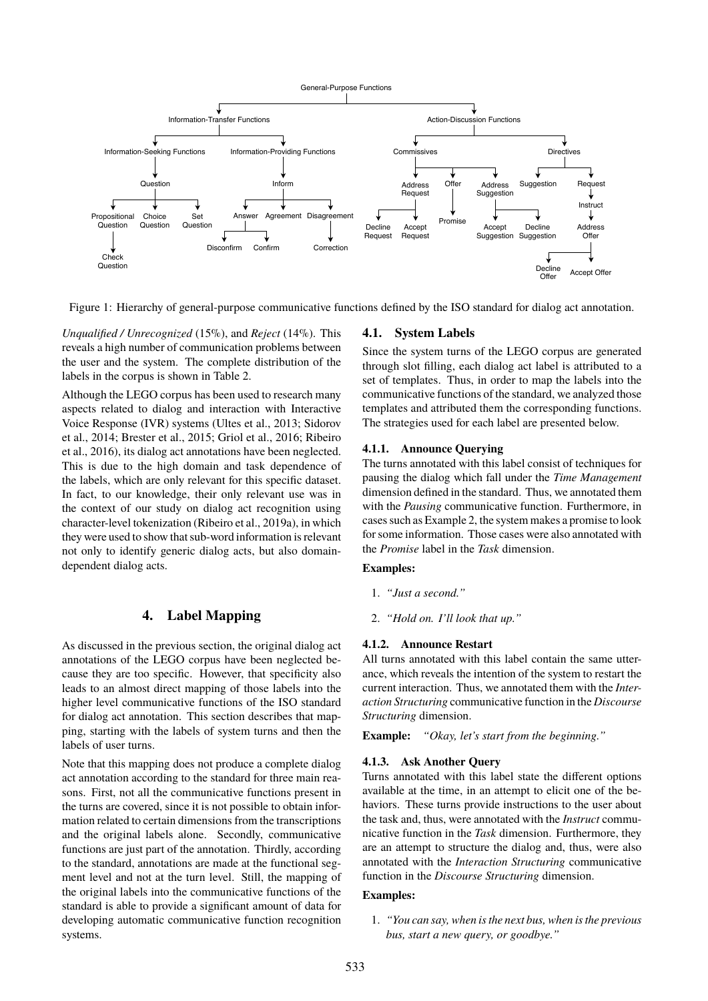General-Purpose Functions



<span id="page-2-1"></span>Figure 1: Hierarchy of general-purpose communicative functions defined by the ISO standard for dialog act annotation.

*Unqualified / Unrecognized* (15%), and *Reject* (14%). This reveals a high number of communication problems between the user and the system. The complete distribution of the labels in the corpus is shown in Table [2.](#page-1-2)

Although the LEGO corpus has been used to research many aspects related to dialog and interaction with Interactive Voice Response (IVR) systems [\(Ultes et al., 2013; Sidorov](#page-0-1) [et al., 2014; Brester et al., 2015; Griol et al., 2016; Ribeiro](#page-0-1) [et al., 2016\)](#page-0-1), its dialog act annotations have been neglected. This is due to the high domain and task dependence of the labels, which are only relevant for this specific dataset. In fact, to our knowledge, their only relevant use was in the context of our study on dialog act recognition using character-level tokenization [\(Ribeiro et al., 2019a\)](#page-0-1), in which they were used to show that sub-word information is relevant not only to identify generic dialog acts, but also domaindependent dialog acts.

# **4. Label Mapping**

<span id="page-2-0"></span>As discussed in the previous section, the original dialog act annotations of the LEGO corpus have been neglected because they are too specific. However, that specificity also leads to an almost direct mapping of those labels into the higher level communicative functions of the ISO standard for dialog act annotation. This section describes that mapping, starting with the labels of system turns and then the labels of user turns.

Note that this mapping does not produce a complete dialog act annotation according to the standard for three main reasons. First, not all the communicative functions present in the turns are covered, since it is not possible to obtain information related to certain dimensions from the transcriptions and the original labels alone. Secondly, communicative functions are just part of the annotation. Thirdly, according to the standard, annotations are made at the functional segment level and not at the turn level. Still, the mapping of the original labels into the communicative functions of the standard is able to provide a significant amount of data for developing automatic communicative function recognition systems.

# **4.1. System Labels**

Since the system turns of the LEGO corpus are generated through slot filling, each dialog act label is attributed to a set of templates. Thus, in order to map the labels into the communicative functions of the standard, we analyzed those templates and attributed them the corresponding functions. The strategies used for each label are presented below.

## **4.1.1. Announce Querying**

The turns annotated with this label consist of techniques for pausing the dialog which fall under the *Time Management* dimension defined in the standard. Thus, we annotated them with the *Pausing* communicative function. Furthermore, in cases such as Example 2, the system makes a promise to look for some information. Those cases were also annotated with the *Promise* label in the *Task* dimension.

## **Examples:**

- 1. *"Just a second."*
- 2. *"Hold on. I'll look that up."*

## <span id="page-2-2"></span>**4.1.2. Announce Restart**

All turns annotated with this label contain the same utterance, which reveals the intention of the system to restart the current interaction. Thus, we annotated them with the *Interaction Structuring* communicative function in the *Discourse Structuring* dimension.

**Example:** *"Okay, let's start from the beginning."*

## **4.1.3. Ask Another Query**

Turns annotated with this label state the different options available at the time, in an attempt to elicit one of the behaviors. These turns provide instructions to the user about the task and, thus, were annotated with the *Instruct* communicative function in the *Task* dimension. Furthermore, they are an attempt to structure the dialog and, thus, were also annotated with the *Interaction Structuring* communicative function in the *Discourse Structuring* dimension.

#### **Examples:**

1. *"You can say, when is the next bus, when is the previous bus, start a new query, or goodbye."*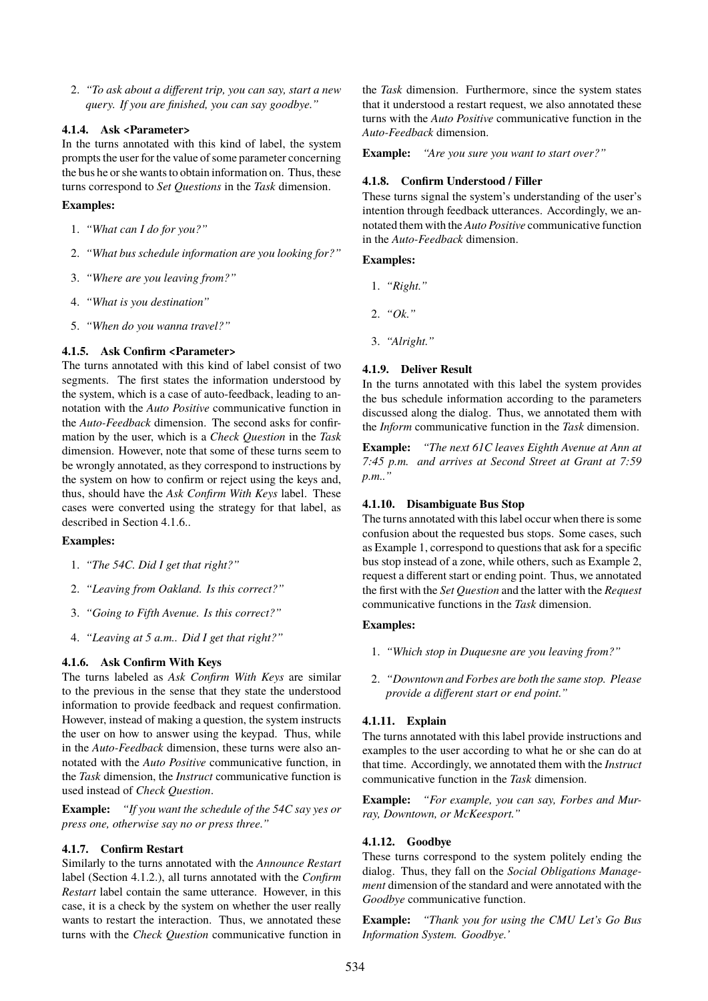2. *"To ask about a different trip, you can say, start a new query. If you are finished, you can say goodbye."*

#### **4.1.4. Ask <Parameter>**

In the turns annotated with this kind of label, the system prompts the user for the value of some parameter concerning the bus he or she wants to obtain information on. Thus, these turns correspond to *Set Questions* in the *Task* dimension.

#### **Examples:**

- 1. *"What can I do for you?"*
- 2. *"What bus schedule information are you looking for?"*
- 3. *"Where are you leaving from?"*
- 4. *"What is you destination"*
- 5. *"When do you wanna travel?"*

## **4.1.5. Ask Confirm <Parameter>**

The turns annotated with this kind of label consist of two segments. The first states the information understood by the system, which is a case of auto-feedback, leading to annotation with the *Auto Positive* communicative function in the *Auto-Feedback* dimension. The second asks for confirmation by the user, which is a *Check Question* in the *Task* dimension. However, note that some of these turns seem to be wrongly annotated, as they correspond to instructions by the system on how to confirm or reject using the keys and, thus, should have the *Ask Confirm With Keys* label. These cases were converted using the strategy for that label, as described in Section [4.1.6..](#page-3-0)

# **Examples:**

- 1. *"The 54C. Did I get that right?"*
- 2. *"Leaving from Oakland. Is this correct?"*
- 3. *"Going to Fifth Avenue. Is this correct?"*
- 4. *"Leaving at 5 a.m.. Did I get that right?"*

## <span id="page-3-0"></span>**4.1.6. Ask Confirm With Keys**

The turns labeled as *Ask Confirm With Keys* are similar to the previous in the sense that they state the understood information to provide feedback and request confirmation. However, instead of making a question, the system instructs the user on how to answer using the keypad. Thus, while in the *Auto-Feedback* dimension, these turns were also annotated with the *Auto Positive* communicative function, in the *Task* dimension, the *Instruct* communicative function is used instead of *Check Question*.

**Example:** *"If you want the schedule of the 54C say yes or press one, otherwise say no or press three."*

#### **4.1.7. Confirm Restart**

Similarly to the turns annotated with the *Announce Restart* label (Section [4.1.2.\)](#page-2-2), all turns annotated with the *Confirm Restart* label contain the same utterance. However, in this case, it is a check by the system on whether the user really wants to restart the interaction. Thus, we annotated these turns with the *Check Question* communicative function in the *Task* dimension. Furthermore, since the system states that it understood a restart request, we also annotated these turns with the *Auto Positive* communicative function in the *Auto-Feedback* dimension.

**Example:** *"Are you sure you want to start over?"*

### **4.1.8. Confirm Understood / Filler**

These turns signal the system's understanding of the user's intention through feedback utterances. Accordingly, we annotated them with the *Auto Positive* communicative function in the *Auto-Feedback* dimension.

#### **Examples:**

- 1. *"Right."*
- 2. *"Ok."*
- 3. *"Alright."*

#### **4.1.9. Deliver Result**

In the turns annotated with this label the system provides the bus schedule information according to the parameters discussed along the dialog. Thus, we annotated them with the *Inform* communicative function in the *Task* dimension.

**Example:** *"The next 61C leaves Eighth Avenue at Ann at 7:45 p.m. and arrives at Second Street at Grant at 7:59 p.m.."*

### **4.1.10. Disambiguate Bus Stop**

The turns annotated with this label occur when there is some confusion about the requested bus stops. Some cases, such as Example 1, correspond to questions that ask for a specific bus stop instead of a zone, while others, such as Example 2, request a different start or ending point. Thus, we annotated the first with the *Set Question* and the latter with the *Request* communicative functions in the *Task* dimension.

#### **Examples:**

- 1. *"Which stop in Duquesne are you leaving from?"*
- 2. *"Downtown and Forbes are both the same stop. Please provide a different start or end point."*

## **4.1.11. Explain**

The turns annotated with this label provide instructions and examples to the user according to what he or she can do at that time. Accordingly, we annotated them with the *Instruct* communicative function in the *Task* dimension.

**Example:** *"For example, you can say, Forbes and Murray, Downtown, or McKeesport."*

## <span id="page-3-1"></span>**4.1.12. Goodbye**

These turns correspond to the system politely ending the dialog. Thus, they fall on the *Social Obligations Management* dimension of the standard and were annotated with the *Goodbye* communicative function.

**Example:** *"Thank you for using the CMU Let's Go Bus Information System. Goodbye.'*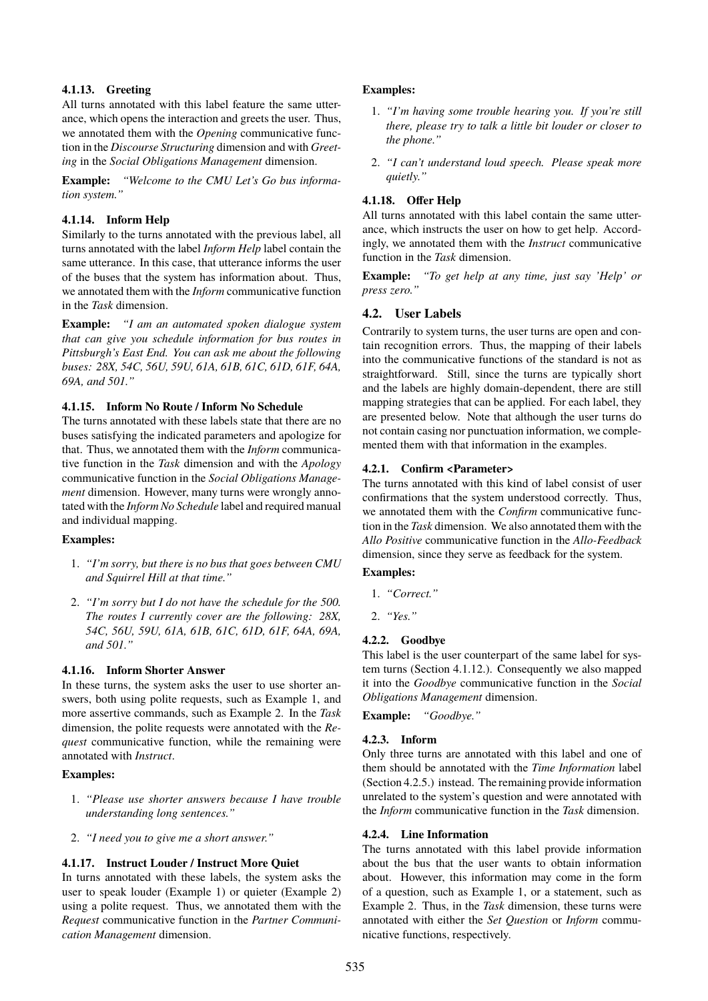# **4.1.13. Greeting**

All turns annotated with this label feature the same utterance, which opens the interaction and greets the user. Thus, we annotated them with the *Opening* communicative function in the *Discourse Structuring* dimension and with *Greeting* in the *Social Obligations Management* dimension.

**Example:** *"Welcome to the CMU Let's Go bus information system."*

# **4.1.14. Inform Help**

Similarly to the turns annotated with the previous label, all turns annotated with the label *Inform Help* label contain the same utterance. In this case, that utterance informs the user of the buses that the system has information about. Thus, we annotated them with the *Inform* communicative function in the *Task* dimension.

**Example:** *"I am an automated spoken dialogue system that can give you schedule information for bus routes in Pittsburgh's East End. You can ask me about the following buses: 28X, 54C, 56U, 59U, 61A, 61B, 61C, 61D, 61F, 64A, 69A, and 501."*

## **4.1.15. Inform No Route / Inform No Schedule**

The turns annotated with these labels state that there are no buses satisfying the indicated parameters and apologize for that. Thus, we annotated them with the *Inform* communicative function in the *Task* dimension and with the *Apology* communicative function in the *Social Obligations Management* dimension. However, many turns were wrongly annotated with the *Inform No Schedule* label and required manual and individual mapping.

## **Examples:**

- 1. *"I'm sorry, but there is no bus that goes between CMU and Squirrel Hill at that time."*
- 2. *"I'm sorry but I do not have the schedule for the 500. The routes I currently cover are the following: 28X, 54C, 56U, 59U, 61A, 61B, 61C, 61D, 61F, 64A, 69A, and 501."*

## **4.1.16. Inform Shorter Answer**

In these turns, the system asks the user to use shorter answers, both using polite requests, such as Example 1, and more assertive commands, such as Example 2. In the *Task* dimension, the polite requests were annotated with the *Request* communicative function, while the remaining were annotated with *Instruct*.

## **Examples:**

- 1. *"Please use shorter answers because I have trouble understanding long sentences."*
- 2. *"I need you to give me a short answer."*

# **4.1.17. Instruct Louder / Instruct More Quiet**

In turns annotated with these labels, the system asks the user to speak louder (Example 1) or quieter (Example 2) using a polite request. Thus, we annotated them with the *Request* communicative function in the *Partner Communication Management* dimension.

### **Examples:**

- 1. *"I'm having some trouble hearing you. If you're still there, please try to talk a little bit louder or closer to the phone."*
- 2. *"I can't understand loud speech. Please speak more quietly."*

### **4.1.18. Offer Help**

All turns annotated with this label contain the same utterance, which instructs the user on how to get help. Accordingly, we annotated them with the *Instruct* communicative function in the *Task* dimension.

**Example:** *"To get help at any time, just say 'Help' or press zero."*

# **4.2. User Labels**

Contrarily to system turns, the user turns are open and contain recognition errors. Thus, the mapping of their labels into the communicative functions of the standard is not as straightforward. Still, since the turns are typically short and the labels are highly domain-dependent, there are still mapping strategies that can be applied. For each label, they are presented below. Note that although the user turns do not contain casing nor punctuation information, we complemented them with that information in the examples.

#### **4.2.1. Confirm <Parameter>**

The turns annotated with this kind of label consist of user confirmations that the system understood correctly. Thus, we annotated them with the *Confirm* communicative function in the *Task* dimension. We also annotated them with the *Allo Positive* communicative function in the *Allo-Feedback* dimension, since they serve as feedback for the system.

## **Examples:**

- 1. *"Correct."*
- 2. *"Yes."*

#### **4.2.2. Goodbye**

This label is the user counterpart of the same label for system turns (Section [4.1.12.\)](#page-3-1). Consequently we also mapped it into the *Goodbye* communicative function in the *Social Obligations Management* dimension.

**Example:** *"Goodbye."*

#### **4.2.3. Inform**

Only three turns are annotated with this label and one of them should be annotated with the *Time Information* label (Section [4.2.5.\)](#page-5-1) instead. The remaining provide information unrelated to the system's question and were annotated with the *Inform* communicative function in the *Task* dimension.

#### **4.2.4. Line Information**

The turns annotated with this label provide information about the bus that the user wants to obtain information about. However, this information may come in the form of a question, such as Example 1, or a statement, such as Example 2. Thus, in the *Task* dimension, these turns were annotated with either the *Set Question* or *Inform* communicative functions, respectively.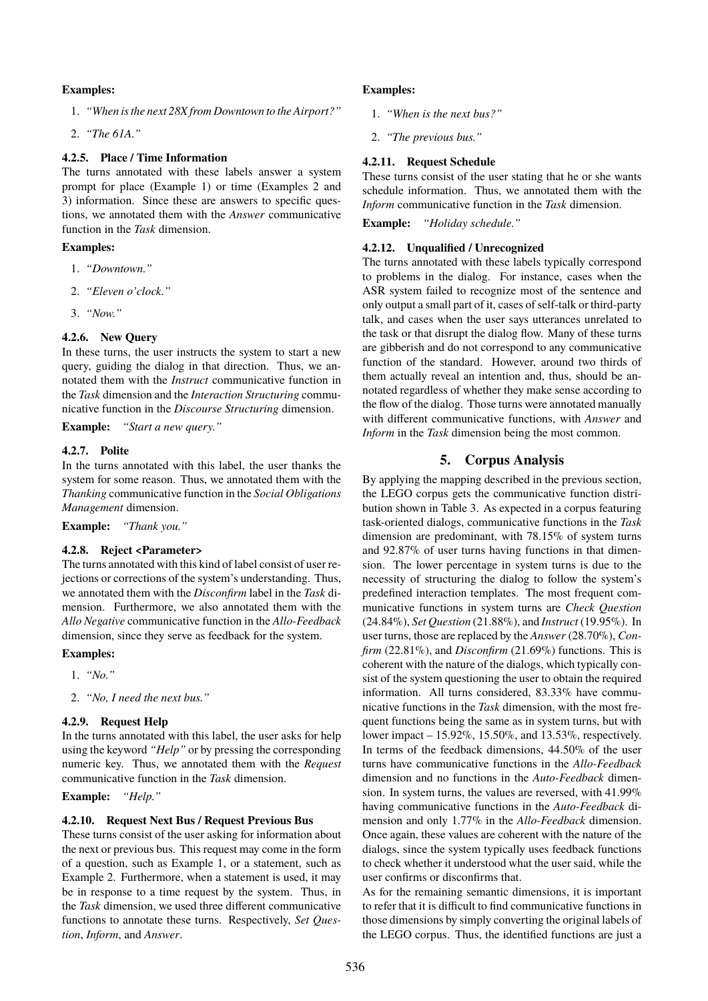### **Examples:**

- 1. *"When is the next 28X from Downtown to the Airport?"*
- 2. *"The 61A."*

#### <span id="page-5-1"></span>**4.2.5. Place / Time Information**

The turns annotated with these labels answer a system prompt for place (Example 1) or time (Examples 2 and 3) information. Since these are answers to specific questions, we annotated them with the *Answer* communicative function in the *Task* dimension.

#### **Examples:**

- 1. *"Downtown."*
- 2. *"Eleven o'clock."*
- 3. *"Now."*

#### **4.2.6. New Query**

In these turns, the user instructs the system to start a new query, guiding the dialog in that direction. Thus, we annotated them with the *Instruct* communicative function in the *Task* dimension and the *Interaction Structuring* communicative function in the *Discourse Structuring* dimension.

**Example:** *"Start a new query."*

#### **4.2.7. Polite**

In the turns annotated with this label, the user thanks the system for some reason. Thus, we annotated them with the *Thanking* communicative function in the *Social Obligations Management* dimension.

**Example:** *"Thank you."*

#### **4.2.8. Reject <Parameter>**

The turns annotated with this kind of label consist of user rejections or corrections of the system's understanding. Thus, we annotated them with the *Disconfirm* label in the *Task* dimension. Furthermore, we also annotated them with the *Allo Negative* communicative function in the *Allo-Feedback* dimension, since they serve as feedback for the system.

#### **Examples:**

- 1. *"No."*
- 2. *"No, I need the next bus."*

#### **4.2.9. Request Help**

In the turns annotated with this label, the user asks for help using the keyword *"Help"* or by pressing the corresponding numeric key. Thus, we annotated them with the *Request* communicative function in the *Task* dimension.

**Example:** *"Help."*

#### **4.2.10. Request Next Bus / Request Previous Bus**

These turns consist of the user asking for information about the next or previous bus. This request may come in the form of a question, such as Example 1, or a statement, such as Example 2. Furthermore, when a statement is used, it may be in response to a time request by the system. Thus, in the *Task* dimension, we used three different communicative functions to annotate these turns. Respectively, *Set Question*, *Inform*, and *Answer*.

## **Examples:**

- 1. *"When is the next bus?"*
- 2. *"The previous bus."*

#### **4.2.11. Request Schedule**

These turns consist of the user stating that he or she wants schedule information. Thus, we annotated them with the *Inform* communicative function in the *Task* dimension.

**Example:** *"Holiday schedule."*

#### **4.2.12. Unqualified / Unrecognized**

The turns annotated with these labels typically correspond to problems in the dialog. For instance, cases when the ASR system failed to recognize most of the sentence and only output a small part of it, cases of self-talk or third-party talk, and cases when the user says utterances unrelated to the task or that disrupt the dialog flow. Many of these turns are gibberish and do not correspond to any communicative function of the standard. However, around two thirds of them actually reveal an intention and, thus, should be annotated regardless of whether they make sense according to the flow of the dialog. Those turns were annotated manually with different communicative functions, with *Answer* and *Inform* in the *Task* dimension being the most common.

### **5. Corpus Analysis**

<span id="page-5-0"></span>By applying the mapping described in the previous section, the LEGO corpus gets the communicative function distribution shown in Table [3.](#page-6-1) As expected in a corpus featuring task-oriented dialogs, communicative functions in the *Task* dimension are predominant, with 78.15% of system turns and 92.87% of user turns having functions in that dimension. The lower percentage in system turns is due to the necessity of structuring the dialog to follow the system's predefined interaction templates. The most frequent communicative functions in system turns are *Check Question* (24.84%), *Set Question* (21.88%), and *Instruct* (19.95%). In user turns, those are replaced by the *Answer* (28.70%), *Confirm* (22.81%), and *Disconfirm* (21.69%) functions. This is coherent with the nature of the dialogs, which typically consist of the system questioning the user to obtain the required information. All turns considered, 83.33% have communicative functions in the *Task* dimension, with the most frequent functions being the same as in system turns, but with lower impact – 15.92%, 15.50%, and 13.53%, respectively. In terms of the feedback dimensions, 44.50% of the user turns have communicative functions in the *Allo-Feedback* dimension and no functions in the *Auto-Feedback* dimension. In system turns, the values are reversed, with 41.99% having communicative functions in the *Auto-Feedback* dimension and only 1.77% in the *Allo-Feedback* dimension. Once again, these values are coherent with the nature of the dialogs, since the system typically uses feedback functions to check whether it understood what the user said, while the user confirms or disconfirms that.

As for the remaining semantic dimensions, it is important to refer that it is difficult to find communicative functions in those dimensions by simply converting the original labels of the LEGO corpus. Thus, the identified functions are just a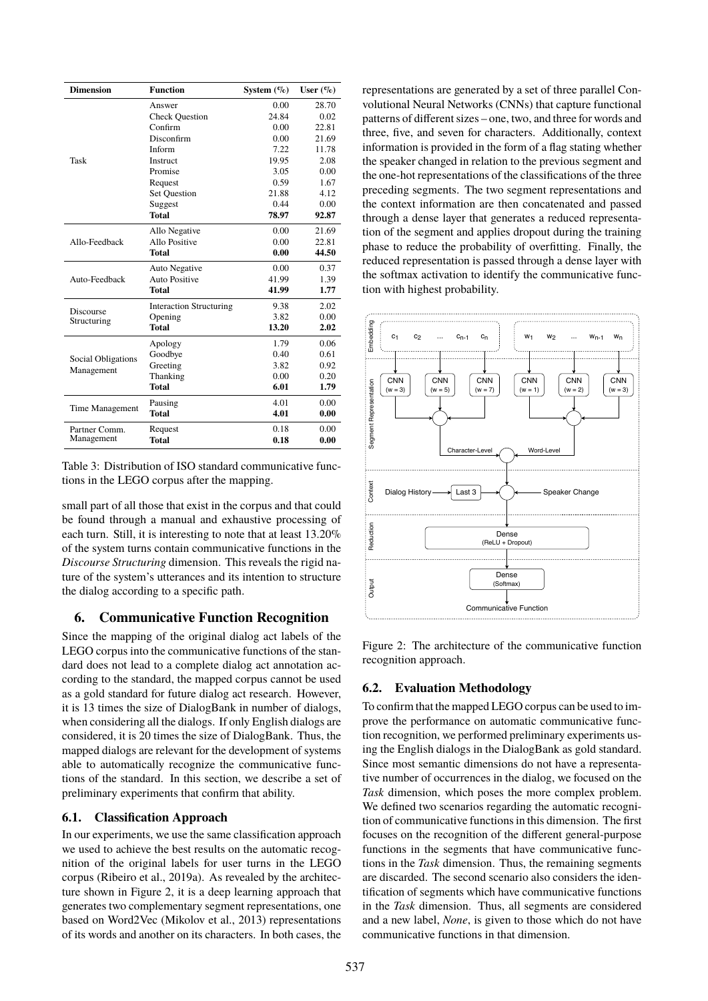| <b>Dimension</b>                        | <b>Function</b>                |       | User $(\%)$ |  |
|-----------------------------------------|--------------------------------|-------|-------------|--|
|                                         | Answer                         | 0.00  | 28.70       |  |
|                                         | <b>Check Question</b>          | 24.84 | 0.02        |  |
|                                         | Confirm                        | 0.00  | 22.81       |  |
|                                         | Disconfirm                     | 0.00  | 21.69       |  |
|                                         | Inform                         | 7.22  | 11.78       |  |
| Task                                    | <b>Instruct</b>                | 19.95 | 2.08        |  |
|                                         | Promise                        | 3.05  | 0.00        |  |
|                                         | Request                        | 0.59  | 1.67        |  |
|                                         | <b>Set Question</b>            | 21.88 | 4.12        |  |
|                                         | Suggest                        | 0.44  | 0.00        |  |
|                                         | Total                          | 78.97 | 92.87       |  |
|                                         | Allo Negative                  | 0.00  | 21.69       |  |
| Allo-Feedback                           | Allo Positive                  | 0.00  | 22.81       |  |
|                                         | Total                          | 0.00  | 44.50       |  |
|                                         | <b>Auto Negative</b>           | 0.00  | 0.37        |  |
| Auto-Feedback                           | <b>Auto Positive</b>           | 41.99 | 1.39        |  |
|                                         | Total                          | 41.99 | 1.77        |  |
| <b>Discourse</b>                        | <b>Interaction Structuring</b> | 9.38  | 2.02        |  |
| Structuring                             | Opening                        | 3.82  | 0.00        |  |
|                                         | Total                          | 13.20 | 2.02        |  |
| <b>Social Obligations</b><br>Management | Apology                        | 1.79  | 0.06        |  |
|                                         | Goodbye                        | 0.40  | 0.61        |  |
|                                         | Greeting                       | 3.82  | 0.92        |  |
|                                         | Thanking                       | 0.00  | 0.20        |  |
|                                         | Total                          | 6.01  | 1.79        |  |
|                                         | Pausing                        | 4.01  | 0.00        |  |
| Time Management                         | <b>Total</b>                   | 4.01  | 0.00        |  |
| Partner Comm.                           | Request                        | 0.18  | 0.00        |  |
| Management                              | Total                          | 0.18  | 0.00        |  |

<span id="page-6-1"></span>Table 3: Distribution of ISO standard communicative functions in the LEGO corpus after the mapping.

small part of all those that exist in the corpus and that could be found through a manual and exhaustive processing of each turn. Still, it is interesting to note that at least 13.20% of the system turns contain communicative functions in the *Discourse Structuring* dimension. This reveals the rigid nature of the system's utterances and its intention to structure the dialog according to a specific path.

# <span id="page-6-0"></span>**6. Communicative Function Recognition**

Since the mapping of the original dialog act labels of the LEGO corpus into the communicative functions of the standard does not lead to a complete dialog act annotation according to the standard, the mapped corpus cannot be used as a gold standard for future dialog act research. However, it is 13 times the size of DialogBank in number of dialogs, when considering all the dialogs. If only English dialogs are considered, it is 20 times the size of DialogBank. Thus, the mapped dialogs are relevant for the development of systems able to automatically recognize the communicative functions of the standard. In this section, we describe a set of preliminary experiments that confirm that ability.

## **6.1. Classification Approach**

In our experiments, we use the same classification approach we used to achieve the best results on the automatic recognition of the original labels for user turns in the LEGO corpus [\(Ribeiro et al., 2019a\)](#page-0-1). As revealed by the architecture shown in Figure [2,](#page-6-2) it is a deep learning approach that generates two complementary segment representations, one based on Word2Vec [\(Mikolov et al., 2013\)](#page-0-1) representations of its words and another on its characters. In both cases, the representations are generated by a set of three parallel Convolutional Neural Networks (CNNs) that capture functional patterns of different sizes – one, two, and three for words and three, five, and seven for characters. Additionally, context information is provided in the form of a flag stating whether the speaker changed in relation to the previous segment and the one-hot representations of the classifications of the three preceding segments. The two segment representations and the context information are then concatenated and passed through a dense layer that generates a reduced representation of the segment and applies dropout during the training phase to reduce the probability of overfitting. Finally, the reduced representation is passed through a dense layer with the softmax activation to identify the communicative function with highest probability.



<span id="page-6-2"></span>Figure 2: The architecture of the communicative function recognition approach.

# **6.2. Evaluation Methodology**

To confirm that the mapped LEGO corpus can be used to improve the performance on automatic communicative function recognition, we performed preliminary experiments using the English dialogs in the DialogBank as gold standard. Since most semantic dimensions do not have a representative number of occurrences in the dialog, we focused on the *Task* dimension, which poses the more complex problem. We defined two scenarios regarding the automatic recognition of communicative functions in this dimension. The first focuses on the recognition of the different general-purpose functions in the segments that have communicative functions in the *Task* dimension. Thus, the remaining segments are discarded. The second scenario also considers the identification of segments which have communicative functions in the *Task* dimension. Thus, all segments are considered and a new label, *None*, is given to those which do not have communicative functions in that dimension.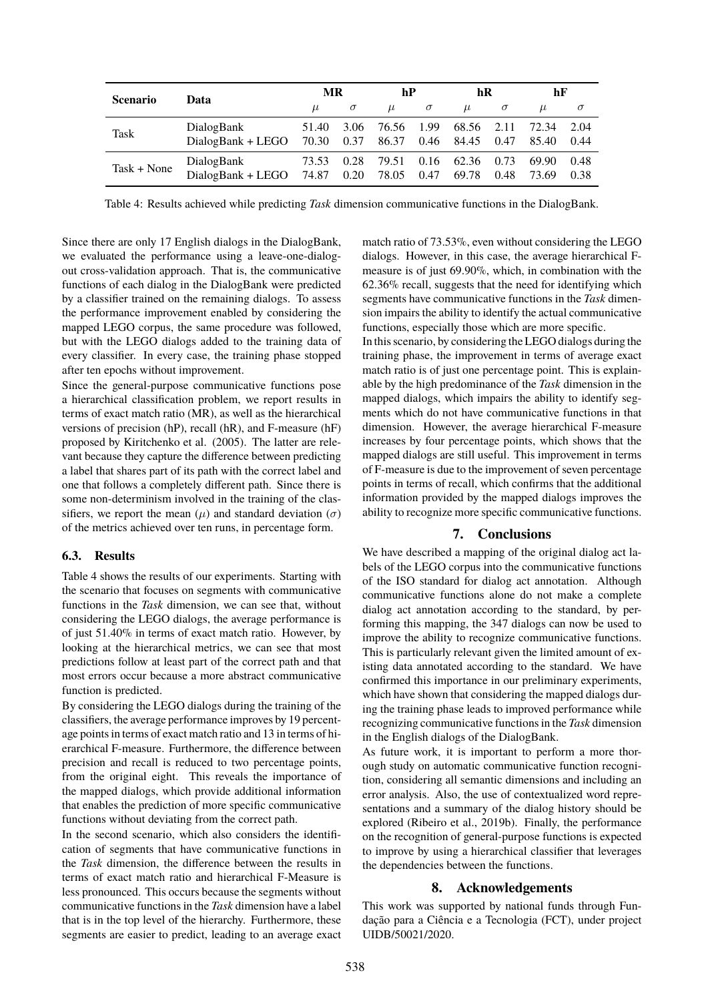| <b>Scenario</b> | Data              | MR    |          | hP    |          | hR    |          | hF    |          |
|-----------------|-------------------|-------|----------|-------|----------|-------|----------|-------|----------|
|                 |                   | $\mu$ | $\sigma$ | $\mu$ | $\sigma$ | $\mu$ | $\sigma$ | $\mu$ | $\sigma$ |
| <b>Task</b>     | DialogBank        | 51.40 | 3.06     | 76.56 | 1.99     | 68.56 | 2.11     | 72.34 | 2.04     |
|                 | DialogBank + LEGO | 70.30 | 0.37     | 86.37 | 0.46     | 84.45 | 0.47     | 85.40 | 0.44     |
| $Task + None$   | DialogBank        | 73.53 | 0.28     | 79.51 | 0.16     | 62.36 | 0.73     | 69.90 | 0.48     |
|                 | DialogBank + LEGO | 74.87 | 0.20     | 78.05 | 0.47     | 69.78 | 0.48     | 73.69 | 0.38     |

<span id="page-7-1"></span>Table 4: Results achieved while predicting *Task* dimension communicative functions in the DialogBank.

Since there are only 17 English dialogs in the DialogBank, we evaluated the performance using a leave-one-dialogout cross-validation approach. That is, the communicative functions of each dialog in the DialogBank were predicted by a classifier trained on the remaining dialogs. To assess the performance improvement enabled by considering the mapped LEGO corpus, the same procedure was followed, but with the LEGO dialogs added to the training data of every classifier. In every case, the training phase stopped after ten epochs without improvement.

Since the general-purpose communicative functions pose a hierarchical classification problem, we report results in terms of exact match ratio (MR), as well as the hierarchical versions of precision (hP), recall (hR), and F-measure (hF) proposed by [Kiritchenko et al. \(2005\)](#page-0-1). The latter are relevant because they capture the difference between predicting a label that shares part of its path with the correct label and one that follows a completely different path. Since there is some non-determinism involved in the training of the classifiers, we report the mean  $(\mu)$  and standard deviation  $(\sigma)$ of the metrics achieved over ten runs, in percentage form.

#### **6.3. Results**

Table [4](#page-7-1) shows the results of our experiments. Starting with the scenario that focuses on segments with communicative functions in the *Task* dimension, we can see that, without considering the LEGO dialogs, the average performance is of just 51.40% in terms of exact match ratio. However, by looking at the hierarchical metrics, we can see that most predictions follow at least part of the correct path and that most errors occur because a more abstract communicative function is predicted.

By considering the LEGO dialogs during the training of the classifiers, the average performance improves by 19 percentage points in terms of exact match ratio and 13 in terms of hierarchical F-measure. Furthermore, the difference between precision and recall is reduced to two percentage points, from the original eight. This reveals the importance of the mapped dialogs, which provide additional information that enables the prediction of more specific communicative functions without deviating from the correct path.

In the second scenario, which also considers the identification of segments that have communicative functions in the *Task* dimension, the difference between the results in terms of exact match ratio and hierarchical F-Measure is less pronounced. This occurs because the segments without communicative functions in the *Task* dimension have a label that is in the top level of the hierarchy. Furthermore, these segments are easier to predict, leading to an average exact match ratio of 73.53%, even without considering the LEGO dialogs. However, in this case, the average hierarchical Fmeasure is of just 69.90%, which, in combination with the 62.36% recall, suggests that the need for identifying which segments have communicative functions in the *Task* dimension impairs the ability to identify the actual communicative functions, especially those which are more specific.

In this scenario, by considering the LEGO dialogs during the training phase, the improvement in terms of average exact match ratio is of just one percentage point. This is explainable by the high predominance of the *Task* dimension in the mapped dialogs, which impairs the ability to identify segments which do not have communicative functions in that dimension. However, the average hierarchical F-measure increases by four percentage points, which shows that the mapped dialogs are still useful. This improvement in terms of F-measure is due to the improvement of seven percentage points in terms of recall, which confirms that the additional information provided by the mapped dialogs improves the ability to recognize more specific communicative functions.

## **7. Conclusions**

<span id="page-7-0"></span>We have described a mapping of the original dialog act labels of the LEGO corpus into the communicative functions of the ISO standard for dialog act annotation. Although communicative functions alone do not make a complete dialog act annotation according to the standard, by performing this mapping, the 347 dialogs can now be used to improve the ability to recognize communicative functions. This is particularly relevant given the limited amount of existing data annotated according to the standard. We have confirmed this importance in our preliminary experiments, which have shown that considering the mapped dialogs during the training phase leads to improved performance while recognizing communicative functions in the *Task* dimension in the English dialogs of the DialogBank.

As future work, it is important to perform a more thorough study on automatic communicative function recognition, considering all semantic dimensions and including an error analysis. Also, the use of contextualized word representations and a summary of the dialog history should be explored [\(Ribeiro et al., 2019b\)](#page-0-1). Finally, the performance on the recognition of general-purpose functions is expected to improve by using a hierarchical classifier that leverages the dependencies between the functions.

## **8. Acknowledgements**

This work was supported by national funds through Fundação para a Ciência e a Tecnologia (FCT), under project UIDB/50021/2020.